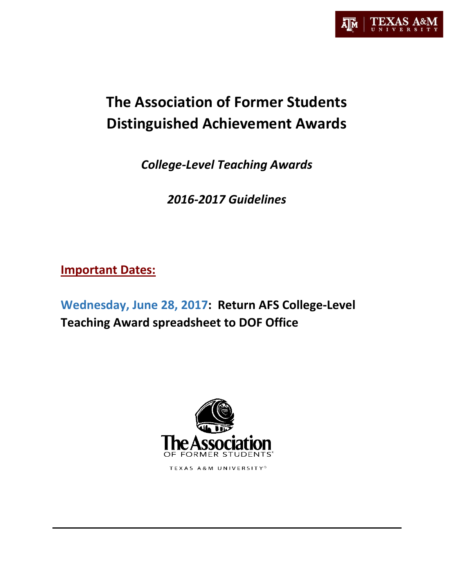

# **The Association of Former Students Distinguished Achievement Awards**

*College-Level Teaching Awards*

*2016-2017 Guidelines*

**Important Dates:**

**Wednesday, June 28, 2017:****Return AFS College-Level Teaching Award spreadsheet to DOF Office**



TEXAS A&M UNIVERSITY®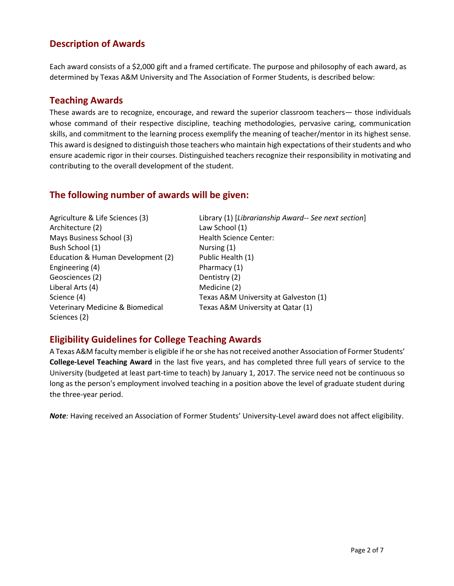# **Description of Awards**

Each award consists of a \$2,000 gift and a framed certificate. The purpose and philosophy of each award, as determined by Texas A&M University and The Association of Former Students, is described below:

## **Teaching Awards**

These awards are to recognize, encourage, and reward the superior classroom teachers— those individuals whose command of their respective discipline, teaching methodologies, pervasive caring, communication skills, and commitment to the learning process exemplify the meaning of teacher/mentor in its highest sense. This award is designed to distinguish those teachers who maintain high expectations of their students and who ensure academic rigor in their courses. Distinguished teachers recognize their responsibility in motivating and contributing to the overall development of the student.

## **The following number of awards will be given:**

Agriculture & Life Sciences (3) Architecture (2) Mays Business School (3) Bush School (1) Education & Human Development (2) Engineering (4) Geosciences (2) Liberal Arts (4) Science (4) Veterinary Medicine & Biomedical Sciences (2)

Library (1) [*Librarianship Award-- See next section*] Law School (1) Health Science Center: Nursing (1) Public Health (1) Pharmacy (1) Dentistry (2) Medicine (2) Texas A&M University at Galveston (1) Texas A&M University at Qatar (1)

# **Eligibility Guidelines for College Teaching Awards**

A Texas A&M faculty member is eligible if he or she has not received another Association of Former Students' **College-Level Teaching Award** in the last five years, and has completed three full years of service to the University (budgeted at least part-time to teach) by January 1, 2017. The service need not be continuous so long as the person's employment involved teaching in a position above the level of graduate student during the three-year period.

*Note:* Having received an Association of Former Students' University-Level award does not affect eligibility.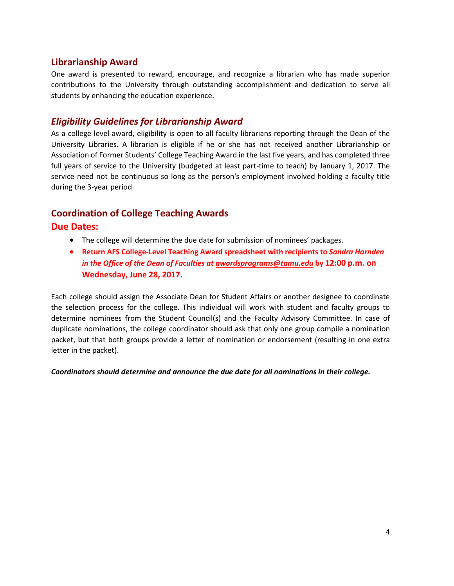## **Librarianship Award**

One award is presented to reward, encourage, and recognize a librarian who has made superior contributions to the University through outstanding accomplishment and dedication to serve all students by enhancing the education experience.

## *Eligibility Guidelines for Librarianship Award*

As a college level award, eligibility is open to all faculty librarians reporting through the Dean of the University Libraries. A librarian is eligible if he or she has not received another Librarianship or Association of Former Students' College Teaching Award in the last five years, and has completed three full years of service to the University (budgeted at least part-time to teach) by January 1, 2017. The service need not be continuous so long as the person's employment involved holding a faculty title during the 3-year period.

## **Coordination of College Teaching Awards**

#### **Due Dates:**

- The college will determine the due date for submission of nominees' packages.
- **Return AFS College-Level Teaching Award spreadsheet with recipients to** *Sandra Harnden in the Office of the Dean of Faculties at [awardsprograms@tamu.edu](mailto:awardsprograms@tamu.edu)* **by 12:00 p.m. on Wednesday, June 28, 2017.**

Each college should assign the Associate Dean for Student Affairs or another designee to coordinate the selection process for the college. This individual will work with student and faculty groups to determine nominees from the Student Council(s) and the Faculty Advisory Committee. In case of duplicate nominations, the college coordinator should ask that only one group compile a nomination packet, but that both groups provide a letter of nomination or endorsement (resulting in one extra letter in the packet).

*Coordinators should determine and announce the due date for all nominations in their college.*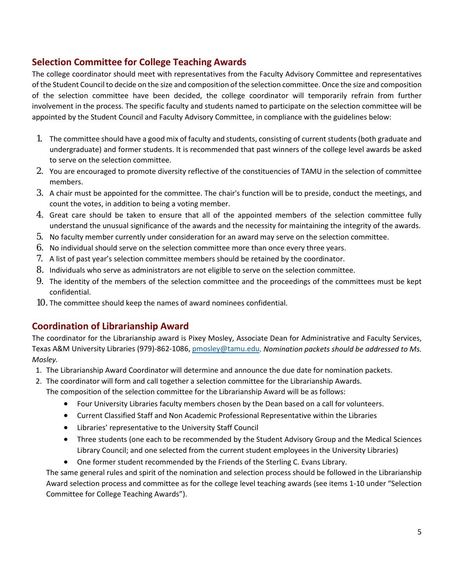# **Selection Committee for College Teaching Awards**

The college coordinator should meet with representatives from the Faculty Advisory Committee and representatives of the Student Council to decide on the size and composition of the selection committee. Once the size and composition of the selection committee have been decided, the college coordinator will temporarily refrain from further involvement in the process. The specific faculty and students named to participate on the selection committee will be appointed by the Student Council and Faculty Advisory Committee, in compliance with the guidelines below:

- 1. The committee should have a good mix of faculty and students, consisting of current students (both graduate and undergraduate) and former students. It is recommended that past winners of the college level awards be asked to serve on the selection committee.
- 2. You are encouraged to promote diversity reflective of the constituencies of TAMU in the selection of committee members.
- 3. A chair must be appointed for the committee. The chair's function will be to preside, conduct the meetings, and count the votes, in addition to being a voting member.
- 4. Great care should be taken to ensure that all of the appointed members of the selection committee fully understand the unusual significance of the awards and the necessity for maintaining the integrity of the awards.
- 5. No faculty member currently under consideration for an award may serve on the selection committee.
- 6. No individual should serve on the selection committee more than once every three years.
- 7. A list of past year's selection committee members should be retained by the coordinator.
- 8. Individuals who serve as administrators are not eligible to serve on the selection committee.
- 9. The identity of the members of the selection committee and the proceedings of the committees must be kept confidential.
- 10. The committee should keep the names of award nominees confidential.

# **Coordination of Librarianship Award**

The coordinator for the Librarianship award is Pixey Mosley, Associate Dean for Administrative and Faculty Services, Texas A&M University Libraries (979)-862-1086, [pmosley@tamu.edu.](mailto:pmosley@tamu.edu) *Nomination packets should be addressed to Ms. Mosley.*

- 1. The Librarianship Award Coordinator will determine and announce the due date for nomination packets.
- 2. The coordinator will form and call together a selection committee for the Librarianship Awards.

The composition of the selection committee for the Librarianship Award will be as follows:

- Four University Libraries faculty members chosen by the Dean based on a call for volunteers.
- Current Classified Staff and Non Academic Professional Representative within the Libraries
- Libraries' representative to the University Staff Council
- Three students (one each to be recommended by the Student Advisory Group and the Medical Sciences Library Council; and one selected from the current student employees in the University Libraries)
- One former student recommended by the Friends of the Sterling C. Evans Library.

The same general rules and spirit of the nomination and selection process should be followed in the Librarianship Award selection process and committee as for the college level teaching awards (see items 1-10 under "Selection Committee for College Teaching Awards").